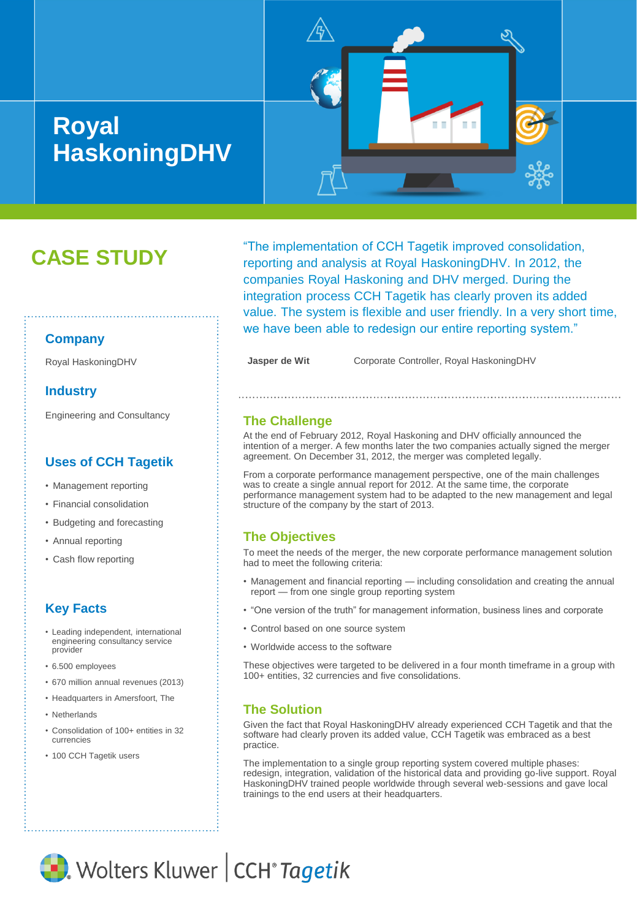# **Royal HaskoningDHV**



# **CASE STUDY**

# "The implementation of CCH Tagetik improved consolidation, reporting and analysis at Royal HaskoningDHV. In 2012, the companies Royal Haskoning and DHV merged. During the integration process CCH Tagetik has clearly proven its added value. The system is flexible and user friendly. In a very short time, we have been able to redesign our entire reporting system."

Royal HaskoningDHV **Jasper de Wit** Corporate Controller, Royal HaskoningDHV

#### **The Challenge**

At the end of February 2012, Royal Haskoning and DHV officially announced the intention of a merger. A few months later the two companies actually signed the merger agreement. On December 31, 2012, the merger was completed legally.

From a corporate performance management perspective, one of the main challenges was to create a single annual report for 2012. At the same time, the corporate performance management system had to be adapted to the new management and legal structure of the company by the start of 2013.

#### **The Objectives**

• Cash flow reporting  $\vdots$  To meet the needs of the merger, the new corporate performance management solution  $\ddot{\cdot}$ had to meet the following criteria:

- Management and financial reporting including consolidation and creating the annual report — from one single group reporting system
- "One version of the truth" for management information, business lines and corporate
- Control based on one source system
- Worldwide access to the software

These objectives were targeted to be delivered in a four month timeframe in a group with 100+ entities, 32 currencies and five consolidations.

#### **The Solution**

Given the fact that Royal HaskoningDHV already experienced CCH Tagetik and that the software had clearly proven its added value, CCH Tagetik was embraced as a best practice.

The implementation to a single group reporting system covered multiple phases: redesign, integration, validation of the historical data and providing go-live support. Royal HaskoningDHV trained people worldwide through several web-sessions and gave local trainings to the end users at their headquarters.

## **Company**

#### **Industry**

Engineering and Consultancy

## **Uses of CCH Tagetik**

- Management reporting
- Financial consolidation
- Budgeting and forecasting
- Annual reporting
- 

# **Key Facts**

- Leading independent, international engineering consultancy service provider
- 6.500 employees
- 670 million annual revenues (2013)
- Headquarters in Amersfoort, The
- Netherlands
- Consolidation of 100+ entities in 32 currencies
- 100 CCH Tagetik users